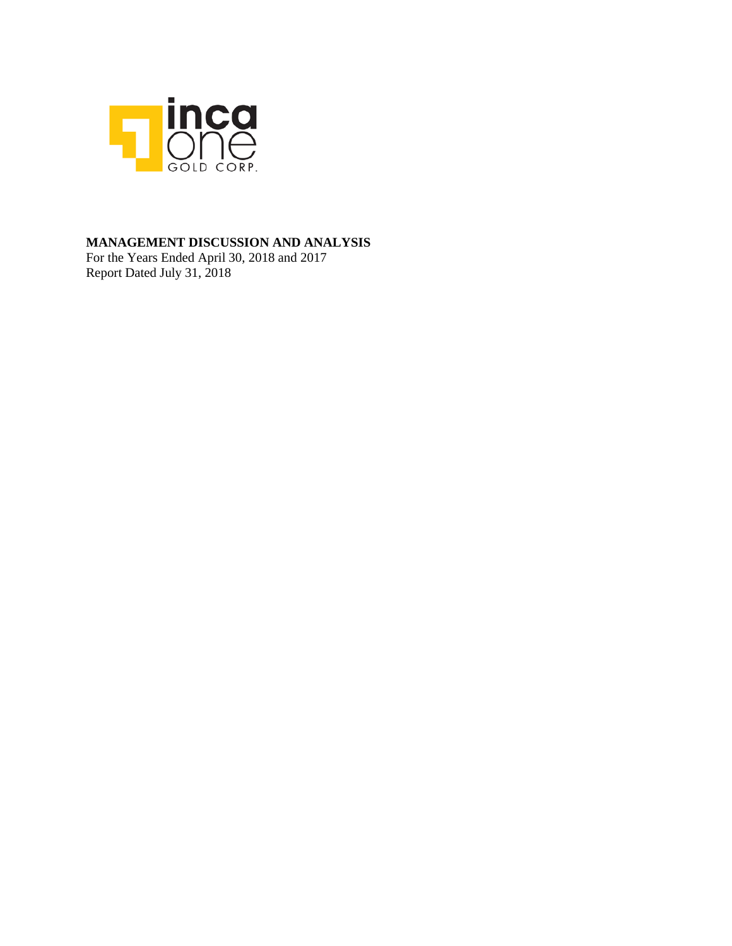

### **MANAGEMENT DISCUSSION AND ANALYSIS**

For the Years Ended April 30, 2018 and 2017 Report Dated July 31, 2018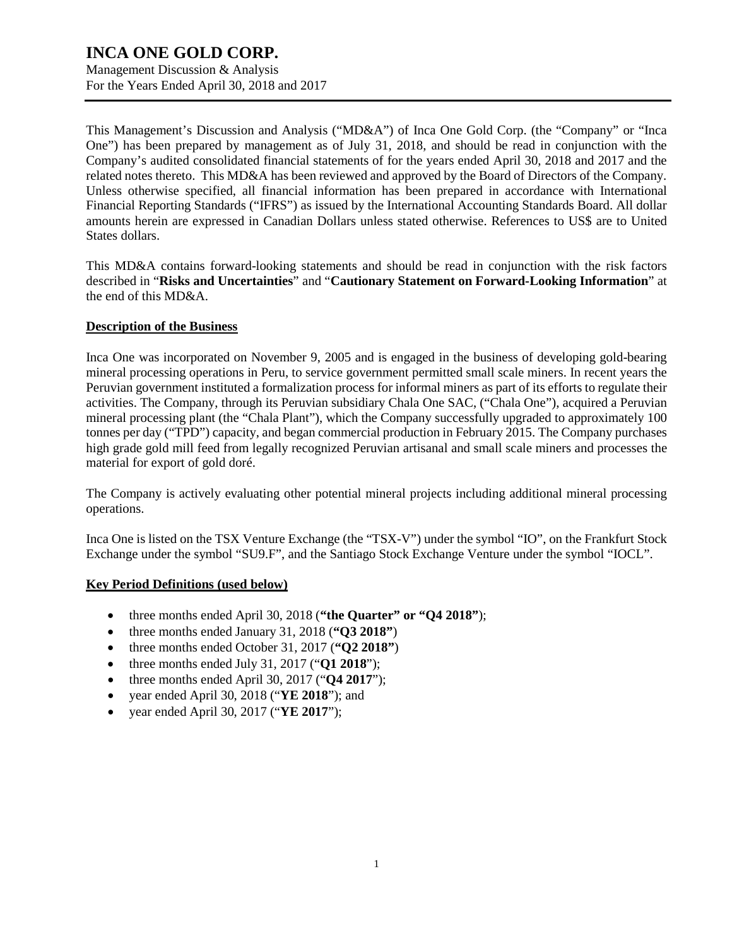Management Discussion & Analysis For the Years Ended April 30, 2018 and 2017

This Management's Discussion and Analysis ("MD&A") of Inca One Gold Corp. (the "Company" or "Inca One") has been prepared by management as of July 31, 2018, and should be read in conjunction with the Company's audited consolidated financial statements of for the years ended April 30, 2018 and 2017 and the related notes thereto. This MD&A has been reviewed and approved by the Board of Directors of the Company. Unless otherwise specified, all financial information has been prepared in accordance with International Financial Reporting Standards ("IFRS") as issued by the International Accounting Standards Board. All dollar amounts herein are expressed in Canadian Dollars unless stated otherwise. References to US\$ are to United States dollars.

This MD&A contains forward-looking statements and should be read in conjunction with the risk factors described in "**Risks and Uncertainties**" and "**Cautionary Statement on Forward-Looking Information**" at the end of this MD&A.

### **Description of the Business**

Inca One was incorporated on November 9, 2005 and is engaged in the business of developing gold-bearing mineral processing operations in Peru, to service government permitted small scale miners. In recent years the Peruvian government instituted a formalization process for informal miners as part of its efforts to regulate their activities. The Company, through its Peruvian subsidiary Chala One SAC, ("Chala One"), acquired a Peruvian mineral processing plant (the "Chala Plant"), which the Company successfully upgraded to approximately 100 tonnes per day ("TPD") capacity, and began commercial production in February 2015. The Company purchases high grade gold mill feed from legally recognized Peruvian artisanal and small scale miners and processes the material for export of gold doré.

The Company is actively evaluating other potential mineral projects including additional mineral processing operations.

Inca One is listed on the TSX Venture Exchange (the "TSX-V") under the symbol "IO", on the Frankfurt Stock Exchange under the symbol "SU9.F", and the Santiago Stock Exchange Venture under the symbol "IOCL".

### **Key Period Definitions (used below)**

- three months ended April 30, 2018 (**"the Quarter" or "Q4 2018"**);
- three months ended January 31, 2018 (**"Q3 2018"**)
- three months ended October 31, 2017 (**"Q2 2018"**)
- three months ended July 31, 2017 ("**Q1 2018**");
- three months ended April 30, 2017 ("**Q4 2017**");
- year ended April 30, 2018 ("**YE 2018**"); and
- year ended April 30, 2017 ("**YE 2017**");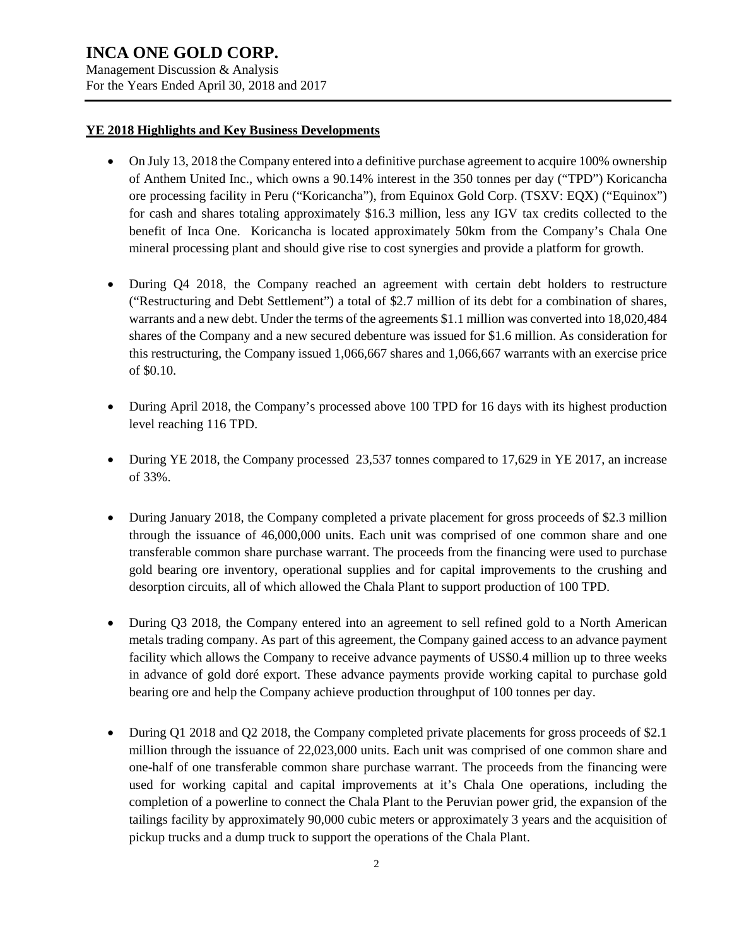For the Years Ended April 30, 2018 and 2017

### **YE 2018 Highlights and Key Business Developments**

- On July 13, 2018 the Company entered into a definitive purchase agreement to acquire 100% ownership of Anthem United Inc., which owns a 90.14% interest in the 350 tonnes per day ("TPD") Koricancha ore processing facility in Peru ("Koricancha"), from Equinox Gold Corp. (TSXV: EQX) ("Equinox") for cash and shares totaling approximately \$16.3 million, less any IGV tax credits collected to the benefit of Inca One. Koricancha is located approximately 50km from the Company's Chala One mineral processing plant and should give rise to cost synergies and provide a platform for growth.
- During  $Q_4$  2018, the Company reached an agreement with certain debt holders to restructure ("Restructuring and Debt Settlement") a total of \$2.7 million of its debt for a combination of shares, warrants and a new debt. Under the terms of the agreements \$1.1 million was converted into 18,020,484 shares of the Company and a new secured debenture was issued for \$1.6 million. As consideration for this restructuring, the Company issued 1,066,667 shares and 1,066,667 warrants with an exercise price of \$0.10.
- During April 2018, the Company's processed above 100 TPD for 16 days with its highest production level reaching 116 TPD.
- During YE 2018, the Company processed 23,537 tonnes compared to 17,629 in YE 2017, an increase of 33%.
- During January 2018, the Company completed a private placement for gross proceeds of \$2.3 million through the issuance of 46,000,000 units. Each unit was comprised of one common share and one transferable common share purchase warrant. The proceeds from the financing were used to purchase gold bearing ore inventory, operational supplies and for capital improvements to the crushing and desorption circuits, all of which allowed the Chala Plant to support production of 100 TPD.
- During Q3 2018, the Company entered into an agreement to sell refined gold to a North American metals trading company. As part of this agreement, the Company gained access to an advance payment facility which allows the Company to receive advance payments of US\$0.4 million up to three weeks in advance of gold doré export. These advance payments provide working capital to purchase gold bearing ore and help the Company achieve production throughput of 100 tonnes per day.
- During Q1 2018 and Q2 2018, the Company completed private placements for gross proceeds of \$2.1 million through the issuance of 22,023,000 units. Each unit was comprised of one common share and one-half of one transferable common share purchase warrant. The proceeds from the financing were used for working capital and capital improvements at it's Chala One operations, including the completion of a powerline to connect the Chala Plant to the Peruvian power grid, the expansion of the tailings facility by approximately 90,000 cubic meters or approximately 3 years and the acquisition of pickup trucks and a dump truck to support the operations of the Chala Plant.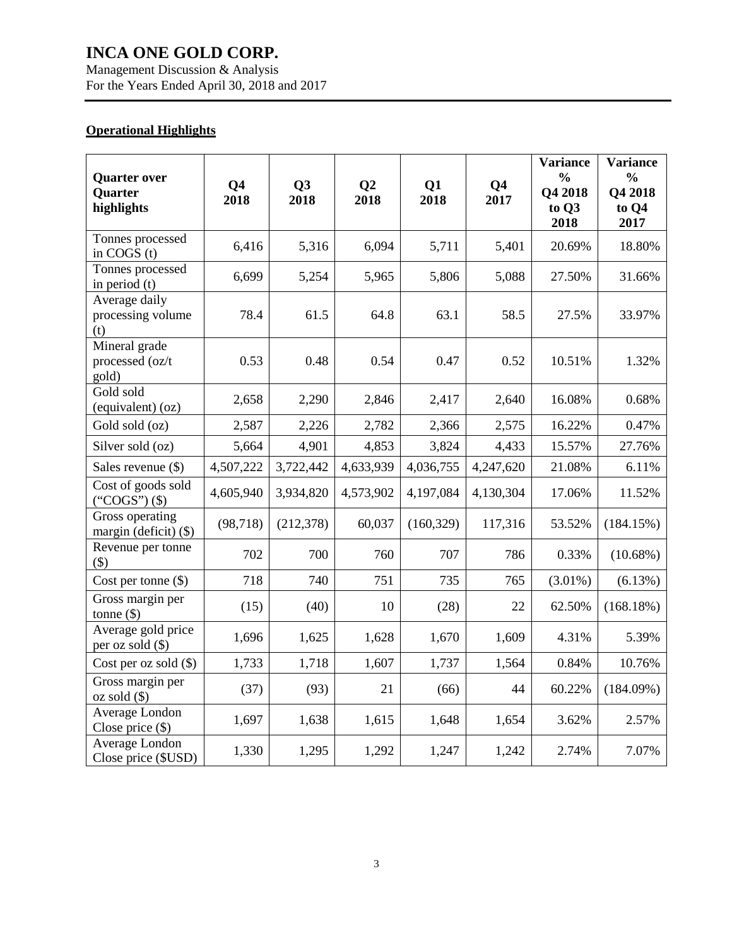Management Discussion & Analysis For the Years Ended April 30, 2018 and 2017

### **Operational Highlights**

| <b>Quarter over</b><br>Quarter<br>highlights | Q <sub>4</sub><br>2018 | Q3<br>2018 | Q <sub>2</sub><br>2018 | Q1<br>2018 | Q <sub>4</sub><br>2017 | <b>Variance</b><br>$\frac{0}{0}$<br>Q4 2018<br>to Q3<br>2018 | <b>Variance</b><br>$\frac{0}{0}$<br>Q4 2018<br>to Q4<br>2017 |
|----------------------------------------------|------------------------|------------|------------------------|------------|------------------------|--------------------------------------------------------------|--------------------------------------------------------------|
| Tonnes processed<br>in COGS (t)              | 6,416                  | 5,316      | 6,094                  | 5,711      | 5,401                  | 20.69%                                                       | 18.80%                                                       |
| Tonnes processed<br>in period $(t)$          | 6,699                  | 5,254      | 5,965                  | 5,806      | 5,088                  | 27.50%                                                       | 31.66%                                                       |
| Average daily<br>processing volume<br>(t)    | 78.4                   | 61.5       | 64.8                   | 63.1       | 58.5                   | 27.5%                                                        | 33.97%                                                       |
| Mineral grade<br>processed (oz/t<br>gold)    | 0.53                   | 0.48       | 0.54                   | 0.47       | 0.52                   | 10.51%                                                       | 1.32%                                                        |
| Gold sold<br>(equivalent) (oz)               | 2,658                  | 2,290      | 2,846                  | 2,417      | 2,640                  | 16.08%                                                       | 0.68%                                                        |
| Gold sold (oz)                               | 2,587                  | 2,226      | 2,782                  | 2,366      | 2,575                  | 16.22%                                                       | 0.47%                                                        |
| Silver sold (oz)                             | 5,664                  | 4,901      | 4,853                  | 3,824      | 4,433                  | 15.57%                                                       | 27.76%                                                       |
| Sales revenue $(\$)$                         | 4,507,222              | 3,722,442  | 4,633,939              | 4,036,755  | 4,247,620              | 21.08%                                                       | 6.11%                                                        |
| Cost of goods sold<br>("COGS") $($ \$)       | 4,605,940              | 3,934,820  | 4,573,902              | 4,197,084  | 4,130,304              | 17.06%                                                       | 11.52%                                                       |
| Gross operating<br>margin (deficit) (\$)     | (98, 718)              | (212, 378) | 60,037                 | (160, 329) | 117,316                | 53.52%                                                       | (184.15%)                                                    |
| Revenue per tonne<br>\$)                     | 702                    | 700        | 760                    | 707        | 786                    | 0.33%                                                        | $(10.68\%)$                                                  |
| Cost per tonne $(\$)$                        | 718                    | 740        | 751                    | 735        | 765                    | $(3.01\%)$                                                   | (6.13%)                                                      |
| Gross margin per<br>tonne $(\$)$             | (15)                   | (40)       | 10                     | (28)       | 22                     | 62.50%                                                       | (168.18%)                                                    |
| Average gold price<br>per oz sold (\$)       | 1,696                  | 1,625      | 1,628                  | 1,670      | 1,609                  | 4.31%                                                        | 5.39%                                                        |
| Cost per oz sold $(\$)$                      | 1,733                  | 1,718      | 1,607                  | 1,737      | 1,564                  | 0.84%                                                        | 10.76%                                                       |
| Gross margin per<br>$oz sold$ (\$)           | (37)                   | (93)       | 21                     | (66)       | 44                     | 60.22%                                                       | (184.09%)                                                    |
| Average London<br>Close price $(\$)$         | 1,697                  | 1,638      | 1,615                  | 1,648      | 1,654                  | 3.62%                                                        | 2.57%                                                        |
| Average London<br>Close price (\$USD)        | 1,330                  | 1,295      | 1,292                  | 1,247      | 1,242                  | 2.74%                                                        | 7.07%                                                        |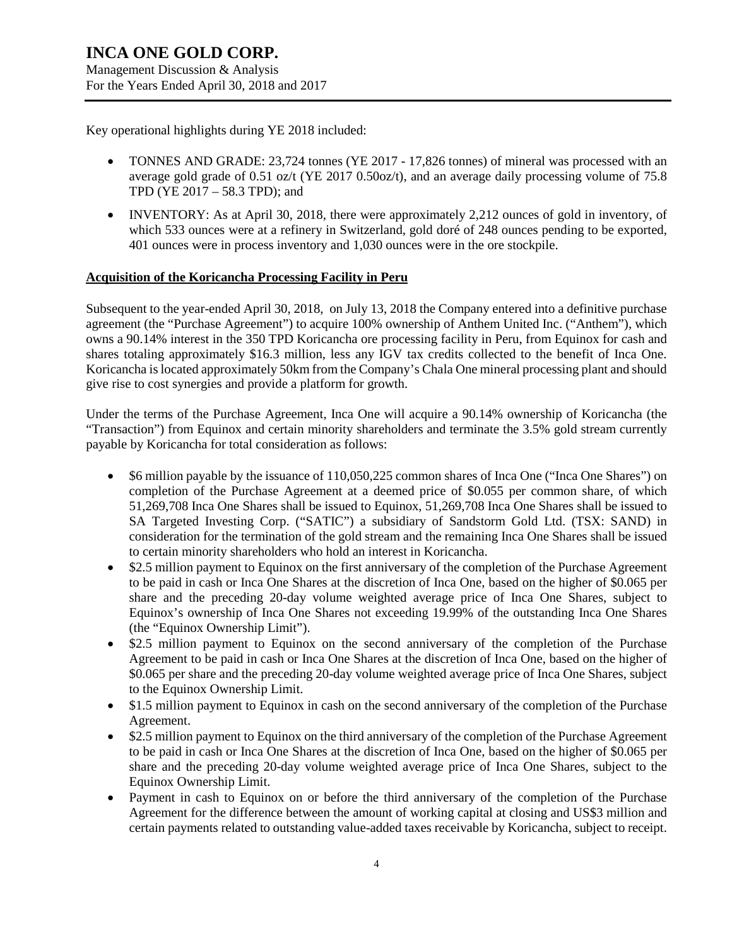Key operational highlights during YE 2018 included:

- TONNES AND GRADE: 23,724 tonnes (YE 2017 17,826 tonnes) of mineral was processed with an average gold grade of 0.51 oz/t (YE 2017 0.50oz/t), and an average daily processing volume of 75.8 TPD (YE 2017 – 58.3 TPD); and
- INVENTORY: As at April 30, 2018, there were approximately 2,212 ounces of gold in inventory, of which 533 ounces were at a refinery in Switzerland, gold doré of 248 ounces pending to be exported, 401 ounces were in process inventory and 1,030 ounces were in the ore stockpile.

### **Acquisition of the Koricancha Processing Facility in Peru**

Subsequent to the year-ended April 30, 2018, on July 13, 2018 the Company entered into a definitive purchase agreement (the "Purchase Agreement") to acquire 100% ownership of Anthem United Inc. ("Anthem"), which owns a 90.14% interest in the 350 TPD Koricancha ore processing facility in Peru, from Equinox for cash and shares totaling approximately \$16.3 million, less any IGV tax credits collected to the benefit of Inca One. Koricancha is located approximately 50km from the Company's Chala One mineral processing plant and should give rise to cost synergies and provide a platform for growth.

Under the terms of the Purchase Agreement, Inca One will acquire a 90.14% ownership of Koricancha (the "Transaction") from Equinox and certain minority shareholders and terminate the 3.5% gold stream currently payable by Koricancha for total consideration as follows:

- \$6 million payable by the issuance of 110,050,225 common shares of Inca One ("Inca One Shares") on completion of the Purchase Agreement at a deemed price of \$0.055 per common share, of which 51,269,708 Inca One Shares shall be issued to Equinox, 51,269,708 Inca One Shares shall be issued to SA Targeted Investing Corp. ("SATIC") a subsidiary of Sandstorm Gold Ltd. (TSX: SAND) in consideration for the termination of the gold stream and the remaining Inca One Shares shall be issued to certain minority shareholders who hold an interest in Koricancha.
- \$2.5 million payment to Equinox on the first anniversary of the completion of the Purchase Agreement to be paid in cash or Inca One Shares at the discretion of Inca One, based on the higher of \$0.065 per share and the preceding 20-day volume weighted average price of Inca One Shares, subject to Equinox's ownership of Inca One Shares not exceeding 19.99% of the outstanding Inca One Shares (the "Equinox Ownership Limit").
- \$2.5 million payment to Equinox on the second anniversary of the completion of the Purchase Agreement to be paid in cash or Inca One Shares at the discretion of Inca One, based on the higher of \$0.065 per share and the preceding 20-day volume weighted average price of Inca One Shares, subject to the Equinox Ownership Limit.
- \$1.5 million payment to Equinox in cash on the second anniversary of the completion of the Purchase Agreement.
- \$2.5 million payment to Equinox on the third anniversary of the completion of the Purchase Agreement to be paid in cash or Inca One Shares at the discretion of Inca One, based on the higher of \$0.065 per share and the preceding 20-day volume weighted average price of Inca One Shares, subject to the Equinox Ownership Limit.
- Payment in cash to Equinox on or before the third anniversary of the completion of the Purchase Agreement for the difference between the amount of working capital at closing and US\$3 million and certain payments related to outstanding value-added taxes receivable by Koricancha, subject to receipt.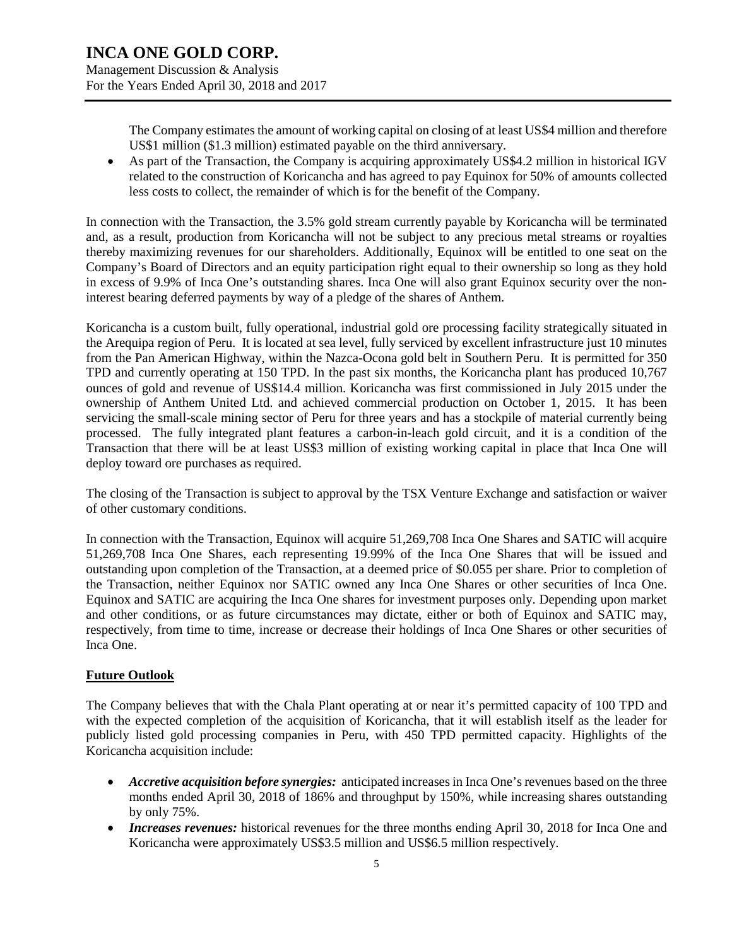The Company estimates the amount of working capital on closing of at least US\$4 million and therefore US\$1 million (\$1.3 million) estimated payable on the third anniversary.

• As part of the Transaction, the Company is acquiring approximately US\$4.2 million in historical IGV related to the construction of Koricancha and has agreed to pay Equinox for 50% of amounts collected less costs to collect, the remainder of which is for the benefit of the Company.

In connection with the Transaction, the 3.5% gold stream currently payable by Koricancha will be terminated and, as a result, production from Koricancha will not be subject to any precious metal streams or royalties thereby maximizing revenues for our shareholders. Additionally, Equinox will be entitled to one seat on the Company's Board of Directors and an equity participation right equal to their ownership so long as they hold in excess of 9.9% of Inca One's outstanding shares. Inca One will also grant Equinox security over the noninterest bearing deferred payments by way of a pledge of the shares of Anthem.

Koricancha is a custom built, fully operational, industrial gold ore processing facility strategically situated in the Arequipa region of Peru. It is located at sea level, fully serviced by excellent infrastructure just 10 minutes from the Pan American Highway, within the Nazca-Ocona gold belt in Southern Peru. It is permitted for 350 TPD and currently operating at 150 TPD. In the past six months, the Koricancha plant has produced 10,767 ounces of gold and revenue of US\$14.4 million. Koricancha was first commissioned in July 2015 under the ownership of Anthem United Ltd. and achieved commercial production on October 1, 2015. It has been servicing the small-scale mining sector of Peru for three years and has a stockpile of material currently being processed. The fully integrated plant features a carbon-in-leach gold circuit, and it is a condition of the Transaction that there will be at least US\$3 million of existing working capital in place that Inca One will deploy toward ore purchases as required.

The closing of the Transaction is subject to approval by the TSX Venture Exchange and satisfaction or waiver of other customary conditions.

In connection with the Transaction, Equinox will acquire 51,269,708 Inca One Shares and SATIC will acquire 51,269,708 Inca One Shares, each representing 19.99% of the Inca One Shares that will be issued and outstanding upon completion of the Transaction, at a deemed price of \$0.055 per share. Prior to completion of the Transaction, neither Equinox nor SATIC owned any Inca One Shares or other securities of Inca One. Equinox and SATIC are acquiring the Inca One shares for investment purposes only. Depending upon market and other conditions, or as future circumstances may dictate, either or both of Equinox and SATIC may, respectively, from time to time, increase or decrease their holdings of Inca One Shares or other securities of Inca One.

### **Future Outlook**

The Company believes that with the Chala Plant operating at or near it's permitted capacity of 100 TPD and with the expected completion of the acquisition of Koricancha, that it will establish itself as the leader for publicly listed gold processing companies in Peru, with 450 TPD permitted capacity. Highlights of the Koricancha acquisition include:

- *Accretive acquisition before synergies:* anticipated increases in Inca One's revenues based on the three months ended April 30, 2018 of 186% and throughput by 150%, while increasing shares outstanding by only 75%.
- *Increases revenues:* historical revenues for the three months ending April 30, 2018 for Inca One and Koricancha were approximately US\$3.5 million and US\$6.5 million respectively.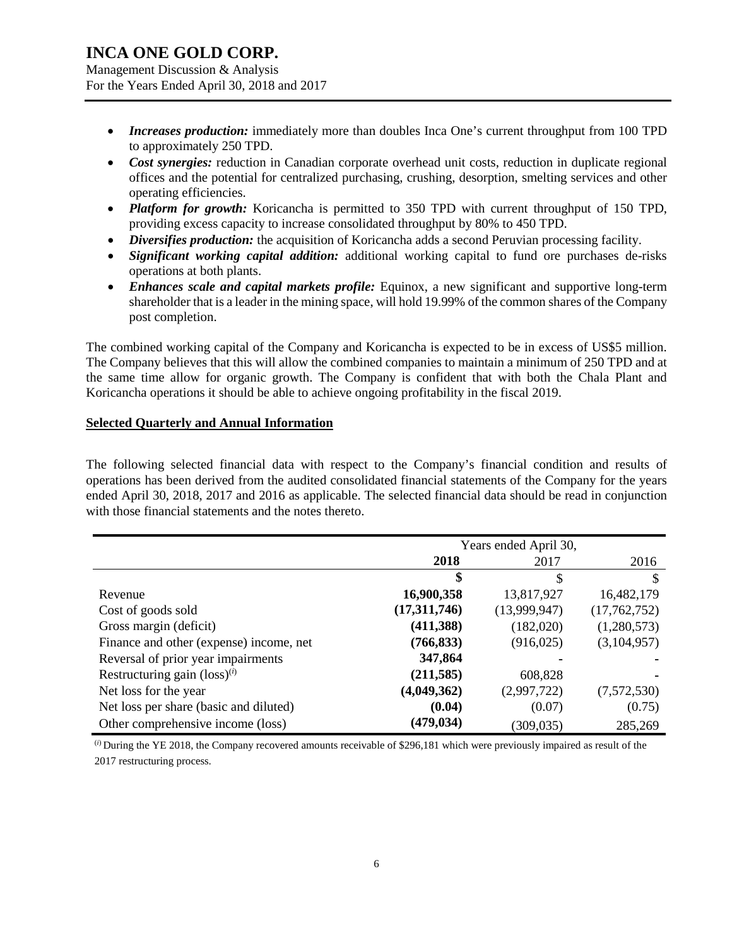Management Discussion & Analysis For the Years Ended April 30, 2018 and 2017

- *Increases production:* immediately more than doubles Inca One's current throughput from 100 TPD to approximately 250 TPD.
- *Cost synergies:* reduction in Canadian corporate overhead unit costs, reduction in duplicate regional offices and the potential for centralized purchasing, crushing, desorption, smelting services and other operating efficiencies.
- *Platform for growth:* Koricancha is permitted to 350 TPD with current throughput of 150 TPD, providing excess capacity to increase consolidated throughput by 80% to 450 TPD.
- *Diversifies production:* the acquisition of Koricancha adds a second Peruvian processing facility.
- *Significant working capital addition:* additional working capital to fund ore purchases de-risks operations at both plants.
- *Enhances scale and capital markets profile:* Equinox, a new significant and supportive long-term shareholder that is a leader in the mining space, will hold 19.99% of the common shares of the Company post completion.

The combined working capital of the Company and Koricancha is expected to be in excess of US\$5 million. The Company believes that this will allow the combined companies to maintain a minimum of 250 TPD and at the same time allow for organic growth. The Company is confident that with both the Chala Plant and Koricancha operations it should be able to achieve ongoing profitability in the fiscal 2019.

### **Selected Quarterly and Annual Information**

The following selected financial data with respect to the Company's financial condition and results of operations has been derived from the audited consolidated financial statements of the Company for the years ended April 30, 2018, 2017 and 2016 as applicable. The selected financial data should be read in conjunction with those financial statements and the notes thereto.

|                                          | Years ended April 30, |              |              |
|------------------------------------------|-----------------------|--------------|--------------|
|                                          | 2018                  | 2017         | 2016         |
|                                          | \$                    | \$           | \$.          |
| Revenue                                  | 16,900,358            | 13,817,927   | 16,482,179   |
| Cost of goods sold                       | (17,311,746)          | (13,999,947) | (17,762,752) |
| Gross margin (deficit)                   | (411,388)             | (182,020)    | (1,280,573)  |
| Finance and other (expense) income, net  | (766, 833)            | (916, 025)   | (3,104,957)  |
| Reversal of prior year impairments       | 347,864               |              |              |
| Restructuring gain $(\text{loss})^{(i)}$ | (211, 585)            | 608,828      |              |
| Net loss for the year                    | (4,049,362)           | (2,997,722)  | (7,572,530)  |
| Net loss per share (basic and diluted)   | (0.04)                | (0.07)       | (0.75)       |
| Other comprehensive income (loss)        | (479, 034)            | (309, 035)   | 285,269      |

(*i*) During the YE 2018, the Company recovered amounts receivable of \$296,181 which were previously impaired as result of the 2017 restructuring process.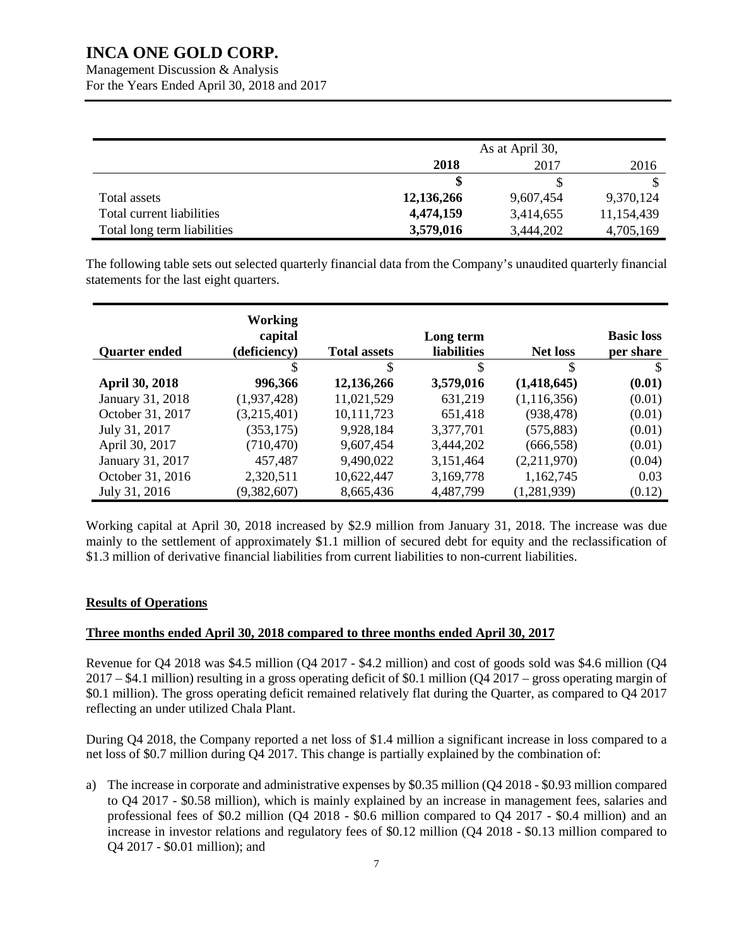Management Discussion & Analysis For the Years Ended April 30, 2018 and 2017

|                             | As at April 30, |           |            |
|-----------------------------|-----------------|-----------|------------|
|                             | 2018            | 2017      | 2016       |
|                             |                 |           |            |
| Total assets                | 12,136,266      | 9,607,454 | 9,370,124  |
| Total current liabilities   | 4,474,159       | 3,414,655 | 11,154,439 |
| Total long term liabilities | 3,579,016       | 3,444,202 | 4,705,169  |

The following table sets out selected quarterly financial data from the Company's unaudited quarterly financial statements for the last eight quarters.

|                       | Working      |                     |                    |                 |                   |
|-----------------------|--------------|---------------------|--------------------|-----------------|-------------------|
|                       | capital      |                     | Long term          |                 | <b>Basic loss</b> |
| <b>Quarter ended</b>  | (deficiency) | <b>Total assets</b> | <b>liabilities</b> | <b>Net loss</b> | per share         |
|                       | S            | S                   | \$                 | \$              |                   |
| <b>April 30, 2018</b> | 996,366      | 12,136,266          | 3,579,016          | (1,418,645)     | (0.01)            |
| January 31, 2018      | (1,937,428)  | 11,021,529          | 631,219            | (1, 116, 356)   | (0.01)            |
| October 31, 2017      | (3,215,401)  | 10,111,723          | 651,418            | (938, 478)      | (0.01)            |
| July 31, 2017         | (353, 175)   | 9,928,184           | 3,377,701          | (575, 883)      | (0.01)            |
| April 30, 2017        | (710, 470)   | 9,607,454           | 3,444,202          | (666, 558)      | (0.01)            |
| January 31, 2017      | 457,487      | 9,490,022           | 3,151,464          | (2,211,970)     | (0.04)            |
| October 31, 2016      | 2,320,511    | 10,622,447          | 3,169,778          | 1,162,745       | 0.03              |
| July 31, 2016         | (9,382,607)  | 8,665,436           | 4,487,799          | (1,281,939)     | (0.12)            |

Working capital at April 30, 2018 increased by \$2.9 million from January 31, 2018. The increase was due mainly to the settlement of approximately \$1.1 million of secured debt for equity and the reclassification of \$1.3 million of derivative financial liabilities from current liabilities to non-current liabilities.

### **Results of Operations**

### **Three months ended April 30, 2018 compared to three months ended April 30, 2017**

Revenue for Q4 2018 was \$4.5 million (Q4 2017 - \$4.2 million) and cost of goods sold was \$4.6 million (Q4 2017 – \$4.1 million) resulting in a gross operating deficit of \$0.1 million (Q4 2017 – gross operating margin of \$0.1 million). The gross operating deficit remained relatively flat during the Quarter, as compared to Q4 2017 reflecting an under utilized Chala Plant.

During Q4 2018, the Company reported a net loss of \$1.4 million a significant increase in loss compared to a net loss of \$0.7 million during Q4 2017. This change is partially explained by the combination of:

a) The increase in corporate and administrative expenses by \$0.35 million (Q4 2018 - \$0.93 million compared to Q4 2017 - \$0.58 million), which is mainly explained by an increase in management fees, salaries and professional fees of \$0.2 million (Q4 2018 - \$0.6 million compared to Q4 2017 - \$0.4 million) and an increase in investor relations and regulatory fees of \$0.12 million (Q4 2018 - \$0.13 million compared to Q4 2017 - \$0.01 million); and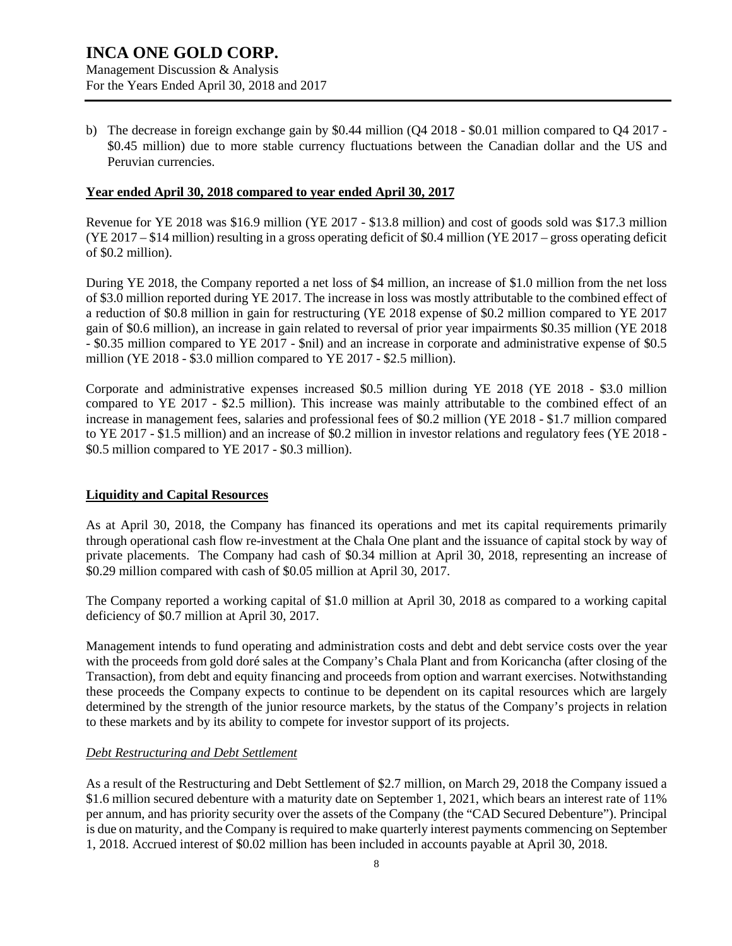b) The decrease in foreign exchange gain by \$0.44 million (Q4 2018 - \$0.01 million compared to Q4 2017 - \$0.45 million) due to more stable currency fluctuations between the Canadian dollar and the US and Peruvian currencies.

### **Year ended April 30, 2018 compared to year ended April 30, 2017**

Revenue for YE 2018 was \$16.9 million (YE 2017 - \$13.8 million) and cost of goods sold was \$17.3 million (YE 2017 – \$14 million) resulting in a gross operating deficit of \$0.4 million (YE 2017 – gross operating deficit of \$0.2 million).

During YE 2018, the Company reported a net loss of \$4 million, an increase of \$1.0 million from the net loss of \$3.0 million reported during YE 2017. The increase in loss was mostly attributable to the combined effect of a reduction of \$0.8 million in gain for restructuring (YE 2018 expense of \$0.2 million compared to YE 2017 gain of \$0.6 million), an increase in gain related to reversal of prior year impairments \$0.35 million (YE 2018 - \$0.35 million compared to YE 2017 - \$nil) and an increase in corporate and administrative expense of \$0.5 million (YE 2018 - \$3.0 million compared to YE 2017 - \$2.5 million).

Corporate and administrative expenses increased \$0.5 million during YE 2018 (YE 2018 - \$3.0 million compared to YE 2017 - \$2.5 million). This increase was mainly attributable to the combined effect of an increase in management fees, salaries and professional fees of \$0.2 million (YE 2018 - \$1.7 million compared to YE 2017 - \$1.5 million) and an increase of \$0.2 million in investor relations and regulatory fees (YE 2018 - \$0.5 million compared to YE 2017 - \$0.3 million).

### **Liquidity and Capital Resources**

As at April 30, 2018, the Company has financed its operations and met its capital requirements primarily through operational cash flow re-investment at the Chala One plant and the issuance of capital stock by way of private placements. The Company had cash of \$0.34 million at April 30, 2018, representing an increase of \$0.29 million compared with cash of \$0.05 million at April 30, 2017.

The Company reported a working capital of \$1.0 million at April 30, 2018 as compared to a working capital deficiency of \$0.7 million at April 30, 2017.

Management intends to fund operating and administration costs and debt and debt service costs over the year with the proceeds from gold doré sales at the Company's Chala Plant and from Koricancha (after closing of the Transaction), from debt and equity financing and proceeds from option and warrant exercises. Notwithstanding these proceeds the Company expects to continue to be dependent on its capital resources which are largely determined by the strength of the junior resource markets, by the status of the Company's projects in relation to these markets and by its ability to compete for investor support of its projects.

### *Debt Restructuring and Debt Settlement*

As a result of the Restructuring and Debt Settlement of \$2.7 million, on March 29, 2018 the Company issued a \$1.6 million secured debenture with a maturity date on September 1, 2021, which bears an interest rate of 11% per annum, and has priority security over the assets of the Company (the "CAD Secured Debenture"). Principal is due on maturity, and the Company is required to make quarterly interest payments commencing on September 1, 2018. Accrued interest of \$0.02 million has been included in accounts payable at April 30, 2018.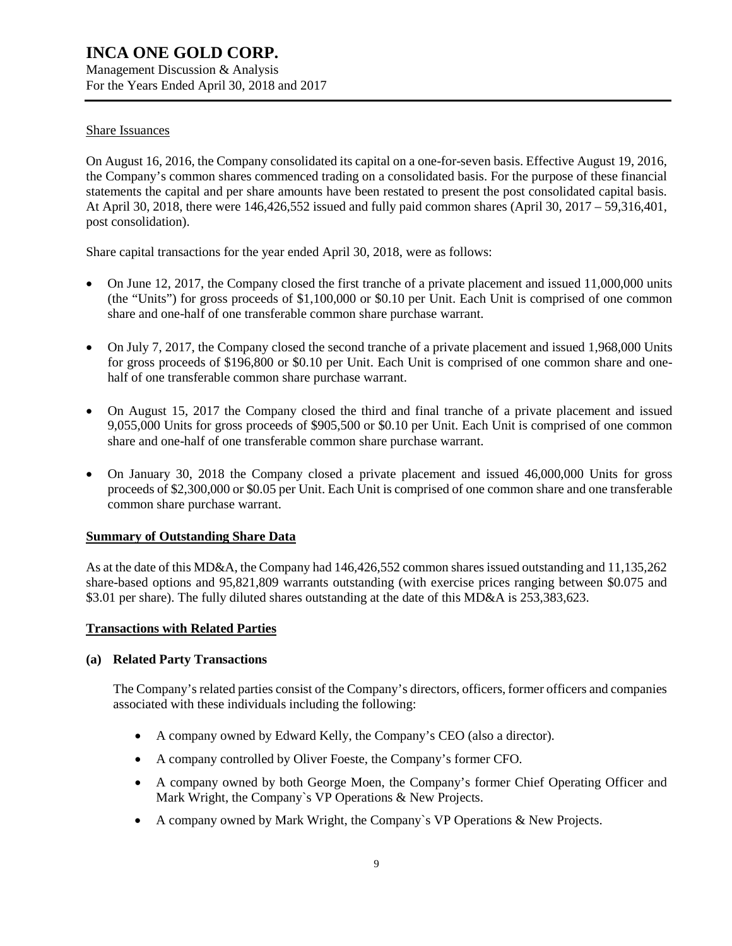Management Discussion & Analysis For the Years Ended April 30, 2018 and 2017

### Share Issuances

On August 16, 2016, the Company consolidated its capital on a one-for-seven basis. Effective August 19, 2016, the Company's common shares commenced trading on a consolidated basis. For the purpose of these financial statements the capital and per share amounts have been restated to present the post consolidated capital basis. At April 30, 2018, there were 146,426,552 issued and fully paid common shares (April 30, 2017 – 59,316,401, post consolidation).

Share capital transactions for the year ended April 30, 2018, were as follows:

- On June 12, 2017, the Company closed the first tranche of a private placement and issued 11,000,000 units (the "Units") for gross proceeds of \$1,100,000 or \$0.10 per Unit. Each Unit is comprised of one common share and one-half of one transferable common share purchase warrant.
- On July 7, 2017, the Company closed the second tranche of a private placement and issued 1,968,000 Units for gross proceeds of \$196,800 or \$0.10 per Unit. Each Unit is comprised of one common share and onehalf of one transferable common share purchase warrant.
- On August 15, 2017 the Company closed the third and final tranche of a private placement and issued 9,055,000 Units for gross proceeds of \$905,500 or \$0.10 per Unit. Each Unit is comprised of one common share and one-half of one transferable common share purchase warrant.
- On January 30, 2018 the Company closed a private placement and issued 46,000,000 Units for gross proceeds of \$2,300,000 or \$0.05 per Unit. Each Unit is comprised of one common share and one transferable common share purchase warrant.

### **Summary of Outstanding Share Data**

As at the date of this MD&A, the Company had 146,426,552 common shares issued outstanding and 11,135,262 share-based options and 95,821,809 warrants outstanding (with exercise prices ranging between \$0.075 and \$3.01 per share). The fully diluted shares outstanding at the date of this MD&A is 253,383,623.

### **Transactions with Related Parties**

### **(a) Related Party Transactions**

The Company's related parties consist of the Company's directors, officers, former officers and companies associated with these individuals including the following:

- A company owned by Edward Kelly, the Company's CEO (also a director).
- A company controlled by Oliver Foeste, the Company's former CFO.
- A company owned by both George Moen, the Company's former Chief Operating Officer and Mark Wright, the Company`s VP Operations & New Projects.
- A company owned by Mark Wright, the Company`s VP Operations & New Projects.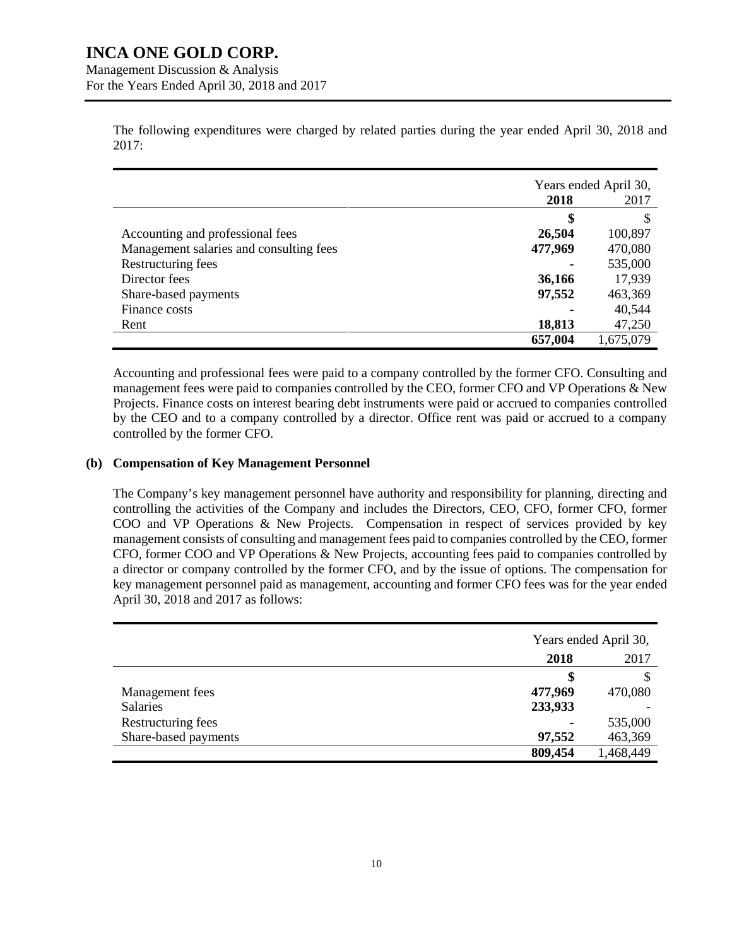Management Discussion & Analysis For the Years Ended April 30, 2018 and 2017

> The following expenditures were charged by related parties during the year ended April 30, 2018 and 2017:

|                                         | Years ended April 30, |           |
|-----------------------------------------|-----------------------|-----------|
|                                         | 2018                  | 2017      |
|                                         | \$                    | S         |
| Accounting and professional fees        | 26,504                | 100,897   |
| Management salaries and consulting fees | 477,969               | 470,080   |
| Restructuring fees                      |                       | 535,000   |
| Director fees                           | 36,166                | 17,939    |
| Share-based payments                    | 97,552                | 463,369   |
| Finance costs                           |                       | 40,544    |
| Rent                                    | 18,813                | 47,250    |
|                                         | 657,004               | 1,675,079 |

Accounting and professional fees were paid to a company controlled by the former CFO. Consulting and management fees were paid to companies controlled by the CEO, former CFO and VP Operations & New Projects. Finance costs on interest bearing debt instruments were paid or accrued to companies controlled by the CEO and to a company controlled by a director. Office rent was paid or accrued to a company controlled by the former CFO.

### **(b) Compensation of Key Management Personnel**

The Company's key management personnel have authority and responsibility for planning, directing and controlling the activities of the Company and includes the Directors, CEO, CFO, former CFO, former COO and VP Operations & New Projects. Compensation in respect of services provided by key management consists of consulting and management fees paid to companies controlled by the CEO, former CFO, former COO and VP Operations & New Projects, accounting fees paid to companies controlled by a director or company controlled by the former CFO, and by the issue of options. The compensation for key management personnel paid as management, accounting and former CFO fees was for the year ended April 30, 2018 and 2017 as follows:

|                      | Years ended April 30, |           |
|----------------------|-----------------------|-----------|
|                      | 2017<br>2018          |           |
|                      | S                     | S         |
| Management fees      | 477,969               | 470,080   |
| <b>Salaries</b>      | 233,933               |           |
| Restructuring fees   |                       | 535,000   |
| Share-based payments | 97,552                | 463,369   |
|                      | 809,454               | 1,468,449 |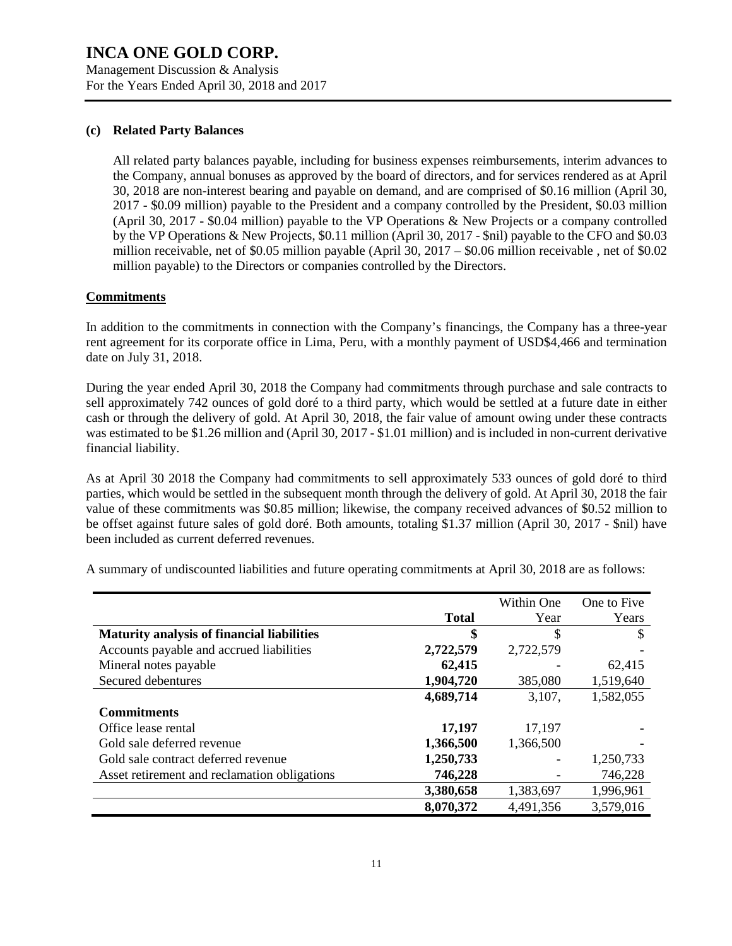Management Discussion & Analysis For the Years Ended April 30, 2018 and 2017

### **(c) Related Party Balances**

All related party balances payable, including for business expenses reimbursements, interim advances to the Company, annual bonuses as approved by the board of directors, and for services rendered as at April 30, 2018 are non-interest bearing and payable on demand, and are comprised of \$0.16 million (April 30, 2017 - \$0.09 million) payable to the President and a company controlled by the President, \$0.03 million (April 30, 2017 - \$0.04 million) payable to the VP Operations & New Projects or a company controlled by the VP Operations & New Projects, \$0.11 million (April 30, 2017 - \$nil) payable to the CFO and \$0.03 million receivable, net of \$0.05 million payable (April 30, 2017 – \$0.06 million receivable , net of \$0.02 million payable) to the Directors or companies controlled by the Directors.

### **Commitments**

In addition to the commitments in connection with the Company's financings, the Company has a three-year rent agreement for its corporate office in Lima, Peru, with a monthly payment of USD\$4,466 and termination date on July 31, 2018.

During the year ended April 30, 2018 the Company had commitments through purchase and sale contracts to sell approximately 742 ounces of gold doré to a third party, which would be settled at a future date in either cash or through the delivery of gold. At April 30, 2018, the fair value of amount owing under these contracts was estimated to be \$1.26 million and (April 30, 2017 - \$1.01 million) and is included in non-current derivative financial liability.

As at April 30 2018 the Company had commitments to sell approximately 533 ounces of gold doré to third parties, which would be settled in the subsequent month through the delivery of gold. At April 30, 2018 the fair value of these commitments was \$0.85 million; likewise, the company received advances of \$0.52 million to be offset against future sales of gold doré. Both amounts, totaling \$1.37 million (April 30, 2017 - \$nil) have been included as current deferred revenues.

|                                                   |              | Within One | One to Five |
|---------------------------------------------------|--------------|------------|-------------|
|                                                   | <b>Total</b> | Year       | Years       |
| <b>Maturity analysis of financial liabilities</b> | \$           | \$         | S           |
| Accounts payable and accrued liabilities          | 2,722,579    | 2,722,579  |             |
| Mineral notes payable                             | 62,415       |            | 62,415      |
| Secured debentures                                | 1,904,720    | 385,080    | 1,519,640   |
|                                                   | 4,689,714    | 3,107,     | 1,582,055   |
| <b>Commitments</b>                                |              |            |             |
| Office lease rental                               | 17,197       | 17,197     |             |
| Gold sale deferred revenue                        | 1,366,500    | 1,366,500  |             |
| Gold sale contract deferred revenue               | 1,250,733    |            | 1,250,733   |
| Asset retirement and reclamation obligations      | 746,228      | -          | 746,228     |
|                                                   | 3,380,658    | 1,383,697  | 1,996,961   |
|                                                   | 8,070,372    | 4,491,356  | 3,579,016   |

A summary of undiscounted liabilities and future operating commitments at April 30, 2018 are as follows: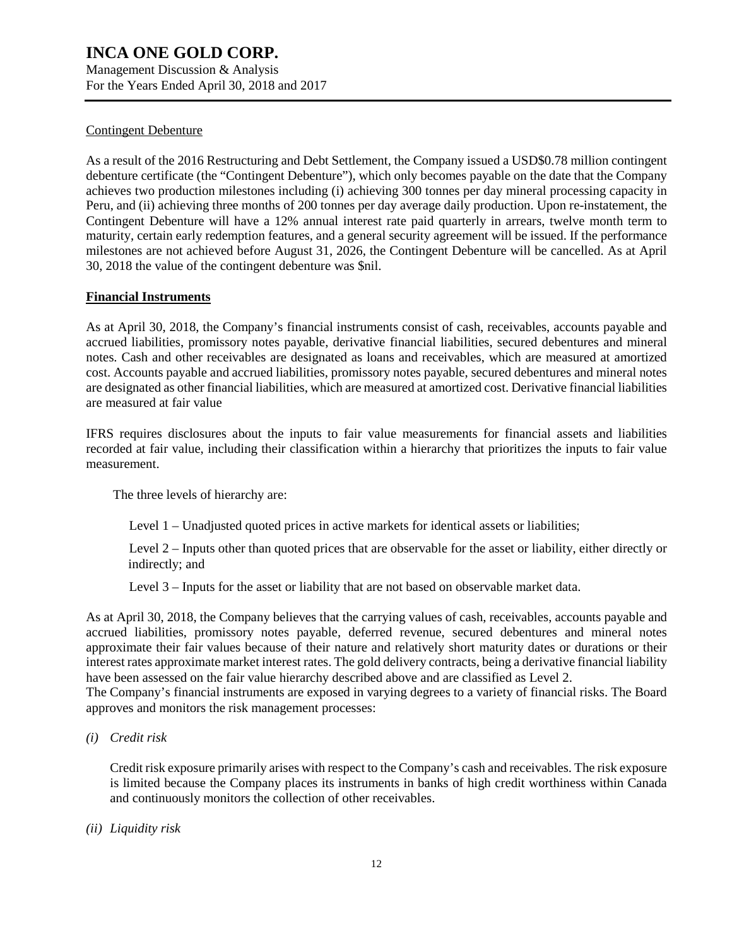Management Discussion & Analysis For the Years Ended April 30, 2018 and 2017

### Contingent Debenture

As a result of the 2016 Restructuring and Debt Settlement, the Company issued a USD\$0.78 million contingent debenture certificate (the "Contingent Debenture"), which only becomes payable on the date that the Company achieves two production milestones including (i) achieving 300 tonnes per day mineral processing capacity in Peru, and (ii) achieving three months of 200 tonnes per day average daily production. Upon re-instatement, the Contingent Debenture will have a 12% annual interest rate paid quarterly in arrears, twelve month term to maturity, certain early redemption features, and a general security agreement will be issued. If the performance milestones are not achieved before August 31, 2026, the Contingent Debenture will be cancelled. As at April 30, 2018 the value of the contingent debenture was \$nil.

### **Financial Instruments**

As at April 30, 2018, the Company's financial instruments consist of cash, receivables, accounts payable and accrued liabilities, promissory notes payable, derivative financial liabilities, secured debentures and mineral notes. Cash and other receivables are designated as loans and receivables, which are measured at amortized cost. Accounts payable and accrued liabilities, promissory notes payable, secured debentures and mineral notes are designated as other financial liabilities, which are measured at amortized cost. Derivative financial liabilities are measured at fair value

IFRS requires disclosures about the inputs to fair value measurements for financial assets and liabilities recorded at fair value, including their classification within a hierarchy that prioritizes the inputs to fair value measurement.

The three levels of hierarchy are:

Level 1 – Unadjusted quoted prices in active markets for identical assets or liabilities;

Level 2 – Inputs other than quoted prices that are observable for the asset or liability, either directly or indirectly; and

Level 3 – Inputs for the asset or liability that are not based on observable market data.

As at April 30, 2018, the Company believes that the carrying values of cash, receivables, accounts payable and accrued liabilities, promissory notes payable, deferred revenue, secured debentures and mineral notes approximate their fair values because of their nature and relatively short maturity dates or durations or their interest rates approximate market interest rates. The gold delivery contracts, being a derivative financial liability have been assessed on the fair value hierarchy described above and are classified as Level 2.

The Company's financial instruments are exposed in varying degrees to a variety of financial risks. The Board approves and monitors the risk management processes:

*(i) Credit risk*

Credit risk exposure primarily arises with respect to the Company's cash and receivables. The risk exposure is limited because the Company places its instruments in banks of high credit worthiness within Canada and continuously monitors the collection of other receivables.

*(ii) Liquidity risk*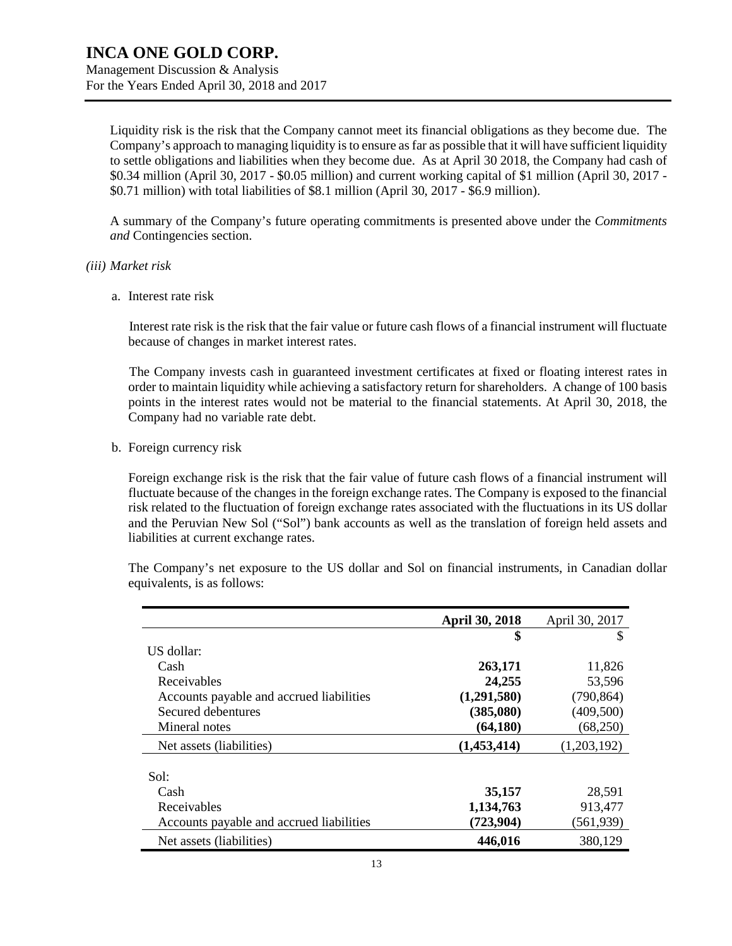Liquidity risk is the risk that the Company cannot meet its financial obligations as they become due. The Company's approach to managing liquidity is to ensure as far as possible that it will have sufficient liquidity to settle obligations and liabilities when they become due. As at April 30 2018, the Company had cash of \$0.34 million (April 30, 2017 - \$0.05 million) and current working capital of \$1 million (April 30, 2017 - \$0.71 million) with total liabilities of \$8.1 million (April 30, 2017 - \$6.9 million).

A summary of the Company's future operating commitments is presented above under the *Commitments and* Contingencies section.

- *(iii) Market risk*
	- a. Interest rate risk

Interest rate risk is the risk that the fair value or future cash flows of a financial instrument will fluctuate because of changes in market interest rates.

The Company invests cash in guaranteed investment certificates at fixed or floating interest rates in order to maintain liquidity while achieving a satisfactory return for shareholders. A change of 100 basis points in the interest rates would not be material to the financial statements. At April 30, 2018, the Company had no variable rate debt.

b. Foreign currency risk

Foreign exchange risk is the risk that the fair value of future cash flows of a financial instrument will fluctuate because of the changes in the foreign exchange rates. The Company is exposed to the financial risk related to the fluctuation of foreign exchange rates associated with the fluctuations in its US dollar and the Peruvian New Sol ("Sol") bank accounts as well as the translation of foreign held assets and liabilities at current exchange rates.

The Company's net exposure to the US dollar and Sol on financial instruments, in Canadian dollar equivalents, is as follows:

|                                          | <b>April 30, 2018</b> | April 30, 2017 |
|------------------------------------------|-----------------------|----------------|
|                                          | \$                    | S              |
| US dollar:                               |                       |                |
| Cash                                     | 263,171               | 11,826         |
| Receivables                              | 24,255                | 53,596         |
| Accounts payable and accrued liabilities | (1,291,580)           | (790, 864)     |
| Secured debentures                       | (385,080)             | (409, 500)     |
| Mineral notes                            | (64, 180)             | (68,250)       |
| Net assets (liabilities)                 | (1,453,414)           | (1,203,192)    |
| Sol:                                     |                       |                |
| Cash                                     | 35,157                | 28,591         |
| Receivables                              | 1,134,763             | 913,477        |
| Accounts payable and accrued liabilities | (723, 904)            | (561,939)      |
| Net assets (liabilities)                 | 446,016               | 380,129        |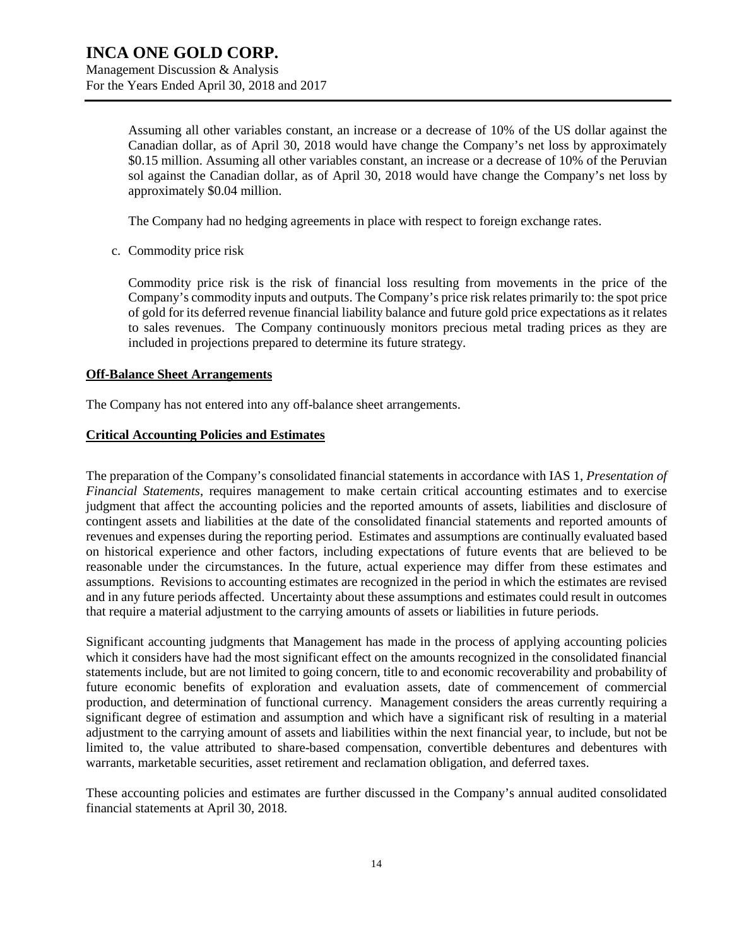Assuming all other variables constant, an increase or a decrease of 10% of the US dollar against the Canadian dollar, as of April 30, 2018 would have change the Company's net loss by approximately \$0.15 million. Assuming all other variables constant, an increase or a decrease of 10% of the Peruvian sol against the Canadian dollar, as of April 30, 2018 would have change the Company's net loss by approximately \$0.04 million.

The Company had no hedging agreements in place with respect to foreign exchange rates.

c. Commodity price risk

Commodity price risk is the risk of financial loss resulting from movements in the price of the Company's commodity inputs and outputs. The Company's price risk relates primarily to: the spot price of gold for its deferred revenue financial liability balance and future gold price expectations as it relates to sales revenues. The Company continuously monitors precious metal trading prices as they are included in projections prepared to determine its future strategy.

### **Off-Balance Sheet Arrangements**

The Company has not entered into any off-balance sheet arrangements.

### **Critical Accounting Policies and Estimates**

The preparation of the Company's consolidated financial statements in accordance with IAS 1, *Presentation of Financial Statements*, requires management to make certain critical accounting estimates and to exercise judgment that affect the accounting policies and the reported amounts of assets, liabilities and disclosure of contingent assets and liabilities at the date of the consolidated financial statements and reported amounts of revenues and expenses during the reporting period. Estimates and assumptions are continually evaluated based on historical experience and other factors, including expectations of future events that are believed to be reasonable under the circumstances. In the future, actual experience may differ from these estimates and assumptions. Revisions to accounting estimates are recognized in the period in which the estimates are revised and in any future periods affected. Uncertainty about these assumptions and estimates could result in outcomes that require a material adjustment to the carrying amounts of assets or liabilities in future periods.

Significant accounting judgments that Management has made in the process of applying accounting policies which it considers have had the most significant effect on the amounts recognized in the consolidated financial statements include, but are not limited to going concern, title to and economic recoverability and probability of future economic benefits of exploration and evaluation assets, date of commencement of commercial production, and determination of functional currency. Management considers the areas currently requiring a significant degree of estimation and assumption and which have a significant risk of resulting in a material adjustment to the carrying amount of assets and liabilities within the next financial year, to include, but not be limited to, the value attributed to share-based compensation, convertible debentures and debentures with warrants, marketable securities, asset retirement and reclamation obligation, and deferred taxes.

These accounting policies and estimates are further discussed in the Company's annual audited consolidated financial statements at April 30, 2018.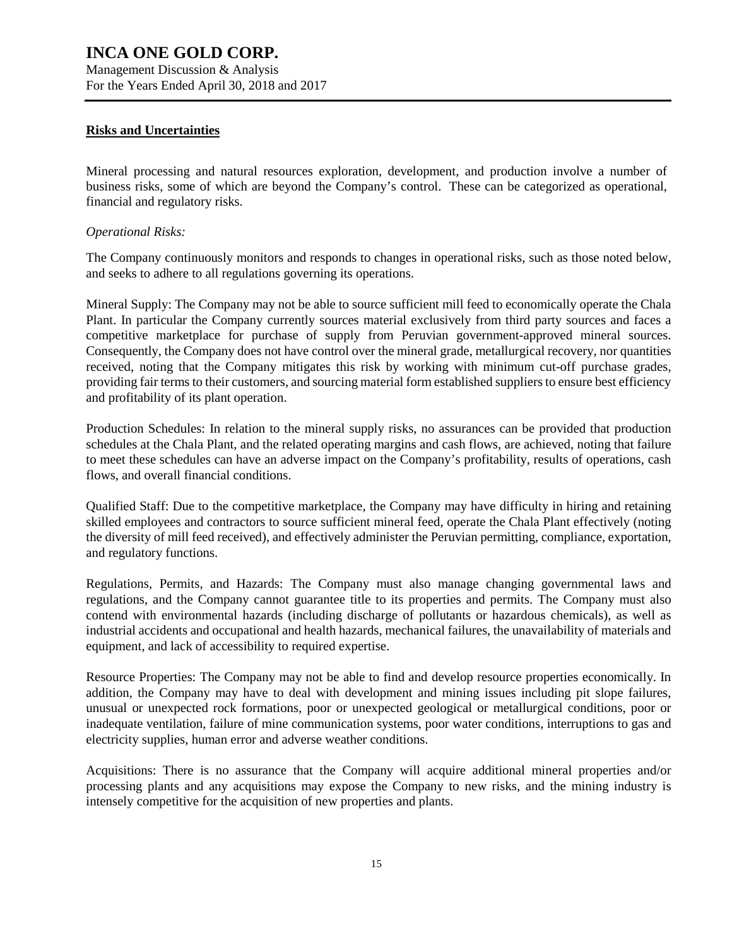Management Discussion & Analysis For the Years Ended April 30, 2018 and 2017

### **Risks and Uncertainties**

Mineral processing and natural resources exploration, development, and production involve a number of business risks, some of which are beyond the Company's control. These can be categorized as operational, financial and regulatory risks.

### *Operational Risks:*

The Company continuously monitors and responds to changes in operational risks, such as those noted below, and seeks to adhere to all regulations governing its operations.

Mineral Supply: The Company may not be able to source sufficient mill feed to economically operate the Chala Plant. In particular the Company currently sources material exclusively from third party sources and faces a competitive marketplace for purchase of supply from Peruvian government-approved mineral sources. Consequently, the Company does not have control over the mineral grade, metallurgical recovery, nor quantities received, noting that the Company mitigates this risk by working with minimum cut-off purchase grades, providing fair terms to their customers, and sourcing material form established suppliers to ensure best efficiency and profitability of its plant operation.

Production Schedules: In relation to the mineral supply risks, no assurances can be provided that production schedules at the Chala Plant, and the related operating margins and cash flows, are achieved, noting that failure to meet these schedules can have an adverse impact on the Company's profitability, results of operations, cash flows, and overall financial conditions.

Qualified Staff: Due to the competitive marketplace, the Company may have difficulty in hiring and retaining skilled employees and contractors to source sufficient mineral feed, operate the Chala Plant effectively (noting the diversity of mill feed received), and effectively administer the Peruvian permitting, compliance, exportation, and regulatory functions.

Regulations, Permits, and Hazards: The Company must also manage changing governmental laws and regulations, and the Company cannot guarantee title to its properties and permits. The Company must also contend with environmental hazards (including discharge of pollutants or hazardous chemicals), as well as industrial accidents and occupational and health hazards, mechanical failures, the unavailability of materials and equipment, and lack of accessibility to required expertise.

Resource Properties: The Company may not be able to find and develop resource properties economically. In addition, the Company may have to deal with development and mining issues including pit slope failures, unusual or unexpected rock formations, poor or unexpected geological or metallurgical conditions, poor or inadequate ventilation, failure of mine communication systems, poor water conditions, interruptions to gas and electricity supplies, human error and adverse weather conditions.

Acquisitions: There is no assurance that the Company will acquire additional mineral properties and/or processing plants and any acquisitions may expose the Company to new risks, and the mining industry is intensely competitive for the acquisition of new properties and plants.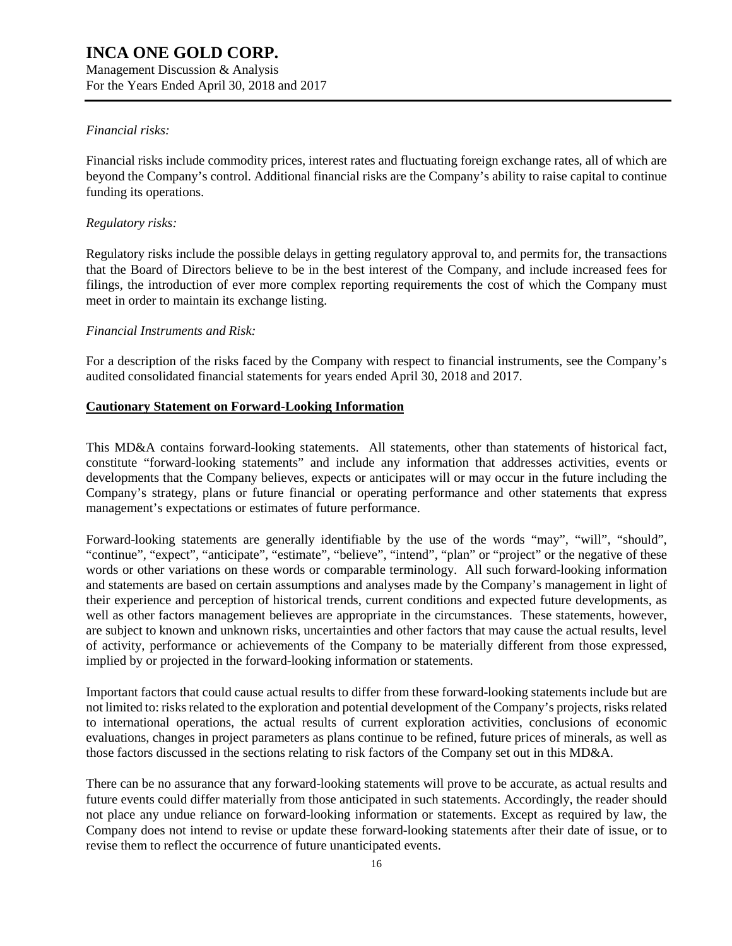Management Discussion & Analysis For the Years Ended April 30, 2018 and 2017

### *Financial risks:*

Financial risks include commodity prices, interest rates and fluctuating foreign exchange rates, all of which are beyond the Company's control. Additional financial risks are the Company's ability to raise capital to continue funding its operations.

### *Regulatory risks:*

Regulatory risks include the possible delays in getting regulatory approval to, and permits for, the transactions that the Board of Directors believe to be in the best interest of the Company, and include increased fees for filings, the introduction of ever more complex reporting requirements the cost of which the Company must meet in order to maintain its exchange listing.

### *Financial Instruments and Risk:*

For a description of the risks faced by the Company with respect to financial instruments, see the Company's audited consolidated financial statements for years ended April 30, 2018 and 2017.

### **Cautionary Statement on Forward-Looking Information**

This MD&A contains forward-looking statements. All statements, other than statements of historical fact, constitute "forward-looking statements" and include any information that addresses activities, events or developments that the Company believes, expects or anticipates will or may occur in the future including the Company's strategy, plans or future financial or operating performance and other statements that express management's expectations or estimates of future performance.

Forward-looking statements are generally identifiable by the use of the words "may", "will", "should", "continue", "expect", "anticipate", "estimate", "believe", "intend", "plan" or "project" or the negative of these words or other variations on these words or comparable terminology. All such forward-looking information and statements are based on certain assumptions and analyses made by the Company's management in light of their experience and perception of historical trends, current conditions and expected future developments, as well as other factors management believes are appropriate in the circumstances. These statements, however, are subject to known and unknown risks, uncertainties and other factors that may cause the actual results, level of activity, performance or achievements of the Company to be materially different from those expressed, implied by or projected in the forward-looking information or statements.

Important factors that could cause actual results to differ from these forward-looking statements include but are not limited to: risks related to the exploration and potential development of the Company's projects, risks related to international operations, the actual results of current exploration activities, conclusions of economic evaluations, changes in project parameters as plans continue to be refined, future prices of minerals, as well as those factors discussed in the sections relating to risk factors of the Company set out in this MD&A.

There can be no assurance that any forward-looking statements will prove to be accurate, as actual results and future events could differ materially from those anticipated in such statements. Accordingly, the reader should not place any undue reliance on forward-looking information or statements. Except as required by law, the Company does not intend to revise or update these forward-looking statements after their date of issue, or to revise them to reflect the occurrence of future unanticipated events.